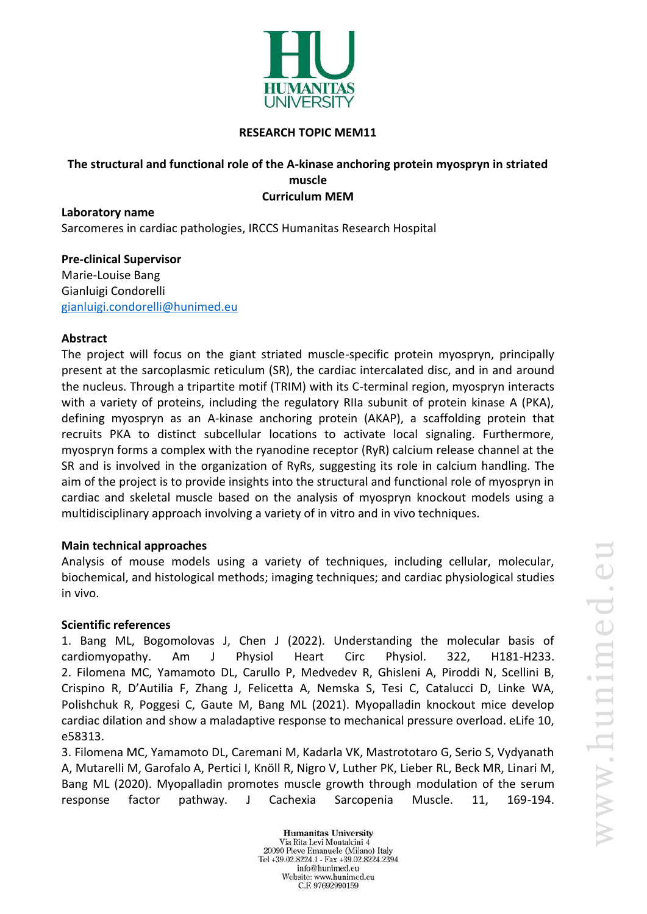

#### **RESEARCH TOPIC MEM11**

### **The structural and functional role of the A-kinase anchoring protein myospryn in striated muscle Curriculum MEM**

**Laboratory name** Sarcomeres in cardiac pathologies, IRCCS Humanitas Research Hospital

**Pre-clinical Supervisor** Marie-Louise Bang Gianluigi Condorelli [gianluigi.condorelli@hunimed.eu](mailto:gianluigi.condorelli@hunimed.eu)

## **Abstract**

The project will focus on the giant striated muscle-specific protein myospryn, principally present at the sarcoplasmic reticulum (SR), the cardiac intercalated disc, and in and around the nucleus. Through a tripartite motif (TRIM) with its C-terminal region, myospryn interacts with a variety of proteins, including the regulatory RIIa subunit of protein kinase A (PKA), defining myospryn as an A-kinase anchoring protein (AKAP), a scaffolding protein that recruits PKA to distinct subcellular locations to activate local signaling. Furthermore, myospryn forms a complex with the ryanodine receptor (RyR) calcium release channel at the SR and is involved in the organization of RyRs, suggesting its role in calcium handling. The aim of the project is to provide insights into the structural and functional role of myospryn in cardiac and skeletal muscle based on the analysis of myospryn knockout models using a multidisciplinary approach involving a variety of in vitro and in vivo techniques.

#### **Main technical approaches**

Analysis of mouse models using a variety of techniques, including cellular, molecular, biochemical, and histological methods; imaging techniques; and cardiac physiological studies in vivo.

#### **Scientific references**

1. Bang ML, Bogomolovas J, Chen J (2022). Understanding the molecular basis of cardiomyopathy. Am J Physiol Heart Circ Physiol. 322, H181-H233. 2. Filomena MC, Yamamoto DL, Carullo P, Medvedev R, Ghisleni A, Piroddi N, Scellini B, Crispino R, D'Autilia F, Zhang J, Felicetta A, Nemska S, Tesi C, Catalucci D, Linke WA, Polishchuk R, Poggesi C, Gaute M, Bang ML (2021). Myopalladin knockout mice develop cardiac dilation and show a maladaptive response to mechanical pressure overload. eLife 10, e58313.

3. Filomena MC, Yamamoto DL, Caremani M, Kadarla VK, Mastrototaro G, Serio S, Vydyanath A, Mutarelli M, Garofalo A, Pertici I, Knöll R, Nigro V, Luther PK, Lieber RL, Beck MR, Linari M, Bang ML (2020). Myopalladin promotes muscle growth through modulation of the serum response factor pathway. J Cachexia Sarcopenia Muscle. 11, 169-194.

> **Humanitas University** Via Rita Levi Montalcini 4 20090 Pieve Emanuele (Milano) Italy Tel +39.02.8224.1 - Fax +39.02.8224.2394 info@hunimed.eu Website: www.hunimed.eu C.F. 97692990159